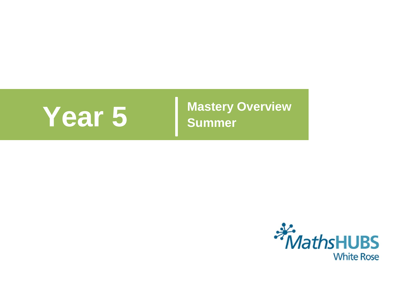**Year 5** Mastery Overview **Summer** 

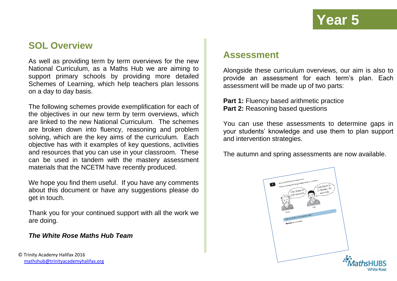### **SOL Overview**

As well as providing term by term overviews for the new National Curriculum, as a Maths Hub we are aiming to support primary schools by providing more detailed Schemes of Learning, which help teachers plan lessons on a day to day basis.

The following schemes provide exemplification for each of the objectives in our new term by term overviews, which are linked to the new National Curriculum. The schemes are broken down into fluency, reasoning and problem solving, which are the key aims of the curriculum. Each objective has with it examples of key questions, activities and resources that you can use in your classroom. These can be used in tandem with the mastery assessment materials that the NCETM have recently produced.

We hope you find them useful. If you have any comments about this document or have any suggestions please do get in touch.

Thank you for your continued support with all the work we are doing.

### *The White Rose Maths Hub Team*

© Trinity Academy Halifax 2016 [mathshub@trinityacademyhalifax.org](mailto:mathshub@trinitYACADEMYHALIFAX.ORG)

### **Assessment**

Alongside these curriculum overviews, our aim is also to provide an assessment for each term's plan. Each assessment will be made up of two parts:

**Part 1: Fluency based arithmetic practice Part 2: Reasoning based questions** 

You can use these assessments to determine gaps in your students' knowledge and use them to plan support and intervention strategies.

The autumn and spring assessments are now available.

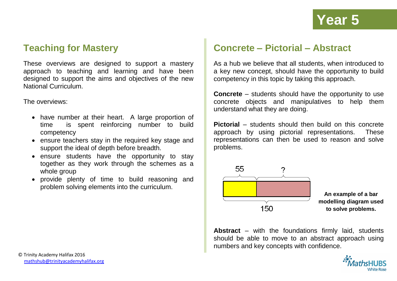### **Teaching for Mastery**

These overviews are designed to support a mastery approach to teaching and learning and have been designed to support the aims and objectives of the new National Curriculum.

The overviews:

- have number at their heart. A large proportion of time is spent reinforcing number to build competency
- ensure teachers stay in the required key stage and support the ideal of depth before breadth.
- ensure students have the opportunity to stay together as they work through the schemes as a whole group
- provide plenty of time to build reasoning and problem solving elements into the curriculum.

### **Concrete – Pictorial – Abstract**

As a hub we believe that all students, when introduced to a key new concept, should have the opportunity to build competency in this topic by taking this approach.

**Concrete** – students should have the opportunity to use concrete objects and manipulatives to help them understand what they are doing.

**Pictorial** – students should then build on this concrete approach by using pictorial representations. These representations can then be used to reason and solve problems.



**An example of a bar modelling diagram used to solve problems.**

**Abstract** – with the foundations firmly laid, students should be able to move to an abstract approach using numbers and key concepts with confidence.

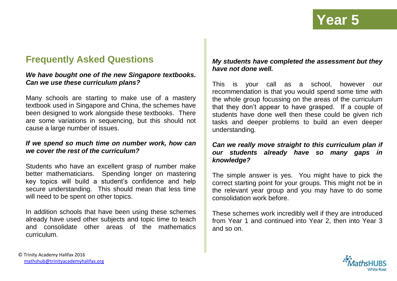## **Frequently Asked Questions**

### *We have bought one of the new Singapore textbooks. Can we use these curriculum plans?*

Many schools are starting to make use of a mastery textbook used in Singapore and China, the schemes have been designed to work alongside these textbooks. There are some variations in sequencing, but this should not cause a large number of issues.

### *If we spend so much time on number work, how can we cover the rest of the curriculum?*

Students who have an excellent grasp of number make better mathematicians. Spending longer on mastering key topics will build a student's confidence and help secure understanding. This should mean that less time will need to be spent on other topics.

In addition schools that have been using these schemes already have used other subjects and topic time to teach and consolidate other areas of the mathematics curriculum.

### *My students have completed the assessment but they have not done well.*

This is your call as a school, however our recommendation is that you would spend some time with the whole group focussing on the areas of the curriculum that they don't appear to have grasped. If a couple of students have done well then these could be given rich tasks and deeper problems to build an even deeper understanding.

### *Can we really move straight to this curriculum plan if our students already have so many gaps in knowledge?*

The simple answer is yes. You might have to pick the correct starting point for your groups. This might not be in the relevant year group and you may have to do some consolidation work before.

These schemes work incredibly well if they are introduced from Year 1 and continued into Year 2, then into Year 3 and so on.

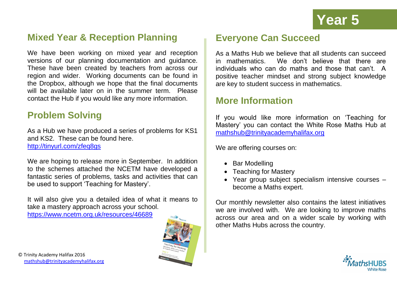## **Mixed Year & Reception Planning**

We have been working on mixed year and reception versions of our planning documentation and guidance. These have been created by teachers from across our region and wider. Working documents can be found in the Dropbox, although we hope that the final documents will be available later on in the summer term. Please contact the Hub if you would like any more information.

## **Problem Solving**

As a Hub we have produced a series of problems for KS1 and KS2. These can be found here. <http://tinyurl.com/zfeq8gs>

We are hoping to release more in September. In addition to the schemes attached the NCETM have developed a fantastic series of problems, tasks and activities that can be used to support 'Teaching for Mastery'.

It will also give you a detailed idea of what it means to take a mastery approach across your school. <https://www.ncetm.org.uk/resources/46689>



## **Everyone Can Succeed**

As a Maths Hub we believe that all students can succeed in mathematics. We don't believe that there are individuals who can do maths and those that can't. A positive teacher mindset and strong subject knowledge are key to student success in mathematics.

### **More Information**

If you would like more information on 'Teaching for Mastery' you can contact the White Rose Maths Hub at [mathshub@trinityacademyhalifax.org](mailto:mathshub@trinityacademyhalifax.org)

We are offering courses on:

- Bar Modelling
- Teaching for Mastery
- Year group subject specialism intensive courses become a Maths expert.

Our monthly newsletter also contains the latest initiatives we are involved with. We are looking to improve maths across our area and on a wider scale by working with other Maths Hubs across the country.

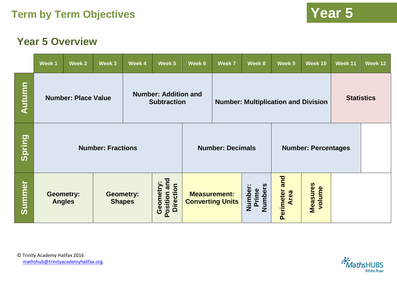## **Year 5 Overview**

|        | Week 1                                                                          | Week 2 | Week 3 | Week 4                                           | Week 5                                         | Week 6                                                | Week 7                             | Week 8                   | Week 9                    | Week 10           | Week 11 | Week 12 |
|--------|---------------------------------------------------------------------------------|--------|--------|--------------------------------------------------|------------------------------------------------|-------------------------------------------------------|------------------------------------|--------------------------|---------------------------|-------------------|---------|---------|
| Autumn | <b>Number: Addition and</b><br><b>Number: Place Value</b><br><b>Subtraction</b> |        |        |                                                  |                                                | <b>Number: Multiplication and Division</b>            |                                    |                          |                           | <b>Statistics</b> |         |         |
| Spring | <b>Number: Fractions</b>                                                        |        |        |                                                  |                                                | <b>Number: Decimals</b><br><b>Number: Percentages</b> |                                    |                          |                           |                   |         |         |
| Summer | <b>Geometry:</b><br><b>Geometry:</b><br><b>Shapes</b><br><b>Angles</b>          |        |        | and<br>Geometry:<br><b>Direction</b><br>Position | <b>Measurement:</b><br><b>Converting Units</b> |                                                       | <b>Numbers</b><br>Number:<br>Prime | and<br>Perimeter<br>Area | <b>Measures</b><br>volume |                   |         |         |

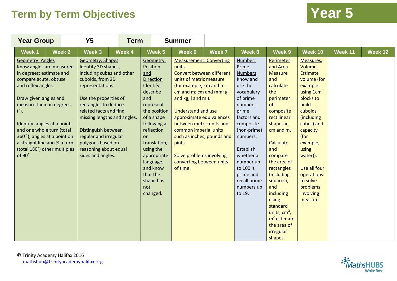| <b>Year Group</b>                                                                                                                                                                                                                                                                                                                                                               |        | Y <sub>5</sub>                                                                                                                                                                                                                                                                                                                                   | <b>Term</b> |                                                                                                                                                                                                                                                                                        | <b>Summer</b>                                                                                                                                                                                                                                                                                                                                                                                        |        |                                                                                                                                                                                                                                                                          |                                                                                                                                                                                                                                                                                                                                                       |                                                                                                                                                                                                                                                                                                   |         |         |
|---------------------------------------------------------------------------------------------------------------------------------------------------------------------------------------------------------------------------------------------------------------------------------------------------------------------------------------------------------------------------------|--------|--------------------------------------------------------------------------------------------------------------------------------------------------------------------------------------------------------------------------------------------------------------------------------------------------------------------------------------------------|-------------|----------------------------------------------------------------------------------------------------------------------------------------------------------------------------------------------------------------------------------------------------------------------------------------|------------------------------------------------------------------------------------------------------------------------------------------------------------------------------------------------------------------------------------------------------------------------------------------------------------------------------------------------------------------------------------------------------|--------|--------------------------------------------------------------------------------------------------------------------------------------------------------------------------------------------------------------------------------------------------------------------------|-------------------------------------------------------------------------------------------------------------------------------------------------------------------------------------------------------------------------------------------------------------------------------------------------------------------------------------------------------|---------------------------------------------------------------------------------------------------------------------------------------------------------------------------------------------------------------------------------------------------------------------------------------------------|---------|---------|
| Week 1                                                                                                                                                                                                                                                                                                                                                                          | Week 2 | Week 3                                                                                                                                                                                                                                                                                                                                           | Week 4      | Week 5                                                                                                                                                                                                                                                                                 | Week 6                                                                                                                                                                                                                                                                                                                                                                                               | Week 7 | Week 8                                                                                                                                                                                                                                                                   | Week 9                                                                                                                                                                                                                                                                                                                                                | Week 10                                                                                                                                                                                                                                                                                           | Week 11 | Week 12 |
| <b>Geometry: Angles</b><br>Know angles are measured<br>in degrees; estimate and<br>compare acute, obtuse<br>and reflex angles.<br>Draw given angles and<br>measure them in degrees<br>$(°)$ .<br>Identify: angles at a point<br>and one whole turn (total<br>360°), angles at a point on<br>a straight line and $\frac{1}{2}$ a turn<br>(total 180°) other multiples<br>of 90°. |        | <b>Geometry: Shapes</b><br>Identify 3D shapes,<br>including cubes and other<br>cuboids, from 2D<br>representations.<br>Use the properties of<br>rectangles to deduce<br>related facts and find<br>missing lengths and angles.<br>Distinguish between<br>regular and irregular<br>polygons based on<br>reasoning about equal<br>sides and angles. |             | Geometry:<br>Position<br>and<br><b>Direction</b><br>Identify,<br>describe<br>and<br>represent<br>the position<br>of a shape<br>following a<br>reflection<br><b>or</b><br>translation,<br>using the<br>appropriate<br>language,<br>and know<br>that the<br>shape has<br>not<br>changed. | <b>Measurement: Converting</b><br>units<br>Convert between different<br>units of metric measure<br>(for example, km and m;<br>cm and m; cm and mm; g<br>and kg; I and ml).<br><b>Understand and use</b><br>approximate equivalences<br>between metric units and<br>common imperial units<br>such as inches, pounds and<br>pints.<br>Solve problems involving<br>converting between units<br>of time. |        | Number:<br>Prime<br><b>Numbers</b><br>Know and<br>use the<br>vocabulary<br>of prime<br>numbers,<br>prime<br>factors and<br>composite<br>(non-prime)<br>numbers.<br>Establish<br>whether a<br>number up<br>to 100 is<br>prime and<br>recall prime<br>numbers up<br>to 19. | Perimeter<br>and Area<br>Measure<br>and<br>calculate<br>the<br>perimeter<br>of<br>composite<br>rectilinear<br>shapes in<br>cm and m.<br>Calculate<br>and<br>compare<br>the area of<br>rectangles<br>(including<br>squares),<br>and<br><i>including</i><br>using<br>standard<br>units, $cm2$ ,<br>$m2$ estimate<br>the area of<br>irregular<br>shapes. | <b>Measures:</b><br>Volume<br><b>Estimate</b><br>volume (for<br>example<br>using $1 \text{cm}^3$<br>blocks to<br>build<br>cuboids<br>(including<br>cubes) and<br>capacity<br>(for<br>example,<br>using<br>water)).<br>Use all four<br>operations<br>to solve<br>problems<br>involving<br>measure. |         |         |

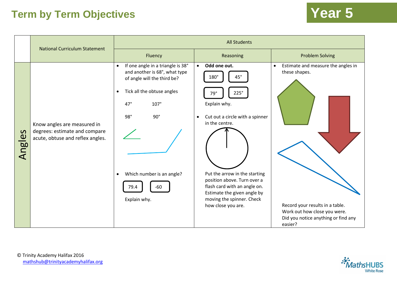|                               | <b>National Curriculum Statement</b>                                                             | <b>All Students</b>                                                                                                                                                                                                                                                             |                                                                                                                                                                                                                                                                                                                                      |                                                                                                                                                                                       |  |  |  |  |  |
|-------------------------------|--------------------------------------------------------------------------------------------------|---------------------------------------------------------------------------------------------------------------------------------------------------------------------------------------------------------------------------------------------------------------------------------|--------------------------------------------------------------------------------------------------------------------------------------------------------------------------------------------------------------------------------------------------------------------------------------------------------------------------------------|---------------------------------------------------------------------------------------------------------------------------------------------------------------------------------------|--|--|--|--|--|
|                               |                                                                                                  | Fluency                                                                                                                                                                                                                                                                         | Reasoning                                                                                                                                                                                                                                                                                                                            | <b>Problem Solving</b>                                                                                                                                                                |  |  |  |  |  |
| $\mathbf{v}$<br><b>Angles</b> | Know angles are measured in<br>degrees: estimate and compare<br>acute, obtuse and reflex angles. | If one angle in a triangle is 38°<br>$\bullet$<br>and another is 68°, what type<br>of angle will the third be?<br>Tick all the obtuse angles<br>$\bullet$<br>$47^\circ$<br>107°<br>98°<br>$90^\circ$<br>Which number is an angle?<br>$\bullet$<br>$-60$<br>79.4<br>Explain why. | Odd one out.<br>$\bullet$<br>$45^{\circ}$<br>180°<br>225°<br>79°<br>Explain why.<br>Cut out a circle with a spinner<br>$\bullet$<br>in the centre.<br>Put the arrow in the starting<br>position above. Turn over a<br>flash card with an angle on.<br>Estimate the given angle by<br>moving the spinner. Check<br>how close you are. | Estimate and measure the angles in<br>$\bullet$<br>these shapes.<br>Record your results in a table.<br>Work out how close you were.<br>Did you notice anything or find any<br>easier? |  |  |  |  |  |



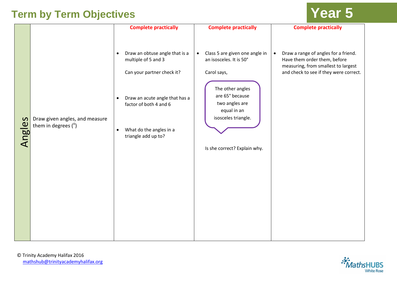|                         |                                                         | <b>Complete practically</b>                                                                                                                                                                                                              | <b>Complete practically</b>                                                                                                                                                                                          | <b>Complete practically</b>                                                                                                                                        |
|-------------------------|---------------------------------------------------------|------------------------------------------------------------------------------------------------------------------------------------------------------------------------------------------------------------------------------------------|----------------------------------------------------------------------------------------------------------------------------------------------------------------------------------------------------------------------|--------------------------------------------------------------------------------------------------------------------------------------------------------------------|
| S<br>Angle <sup>s</sup> | Draw given angles, and measure<br>them in degrees $(°)$ | Draw an obtuse angle that is a<br>$\bullet$<br>multiple of 5 and 3<br>Can your partner check it?<br>Draw an acute angle that has a<br>$\bullet$<br>factor of both 4 and 6<br>What do the angles in a<br>$\bullet$<br>triangle add up to? | Class 5 are given one angle in<br>$\bullet$<br>an isosceles. It is 50°<br>Carol says,<br>The other angles<br>are 65° because<br>two angles are<br>equal in an<br>isosceles triangle.<br>Is she correct? Explain why. | Draw a range of angles for a friend.<br>$\bullet$<br>Have them order them, before<br>measuring, from smallest to largest<br>and check to see if they were correct. |

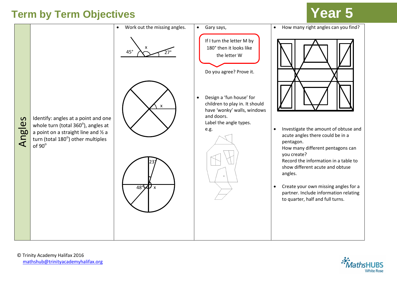

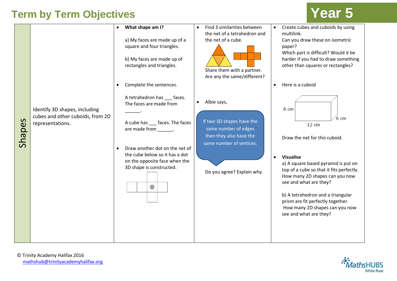|                        |                                                                                       | $\bullet$ | What shape am I?<br>a) My faces are made up of a<br>square and four triangles.<br>b) My faces are made up of<br>rectangles and triangles.<br>Complete the sentences.                                                                                                 | $\bullet$ | Find 3 similarities between<br>the net of a tetrahedron and<br>the net of a cube.<br>Share them with a partner.<br>Are any the same/different?        | $\bullet$ | Create cubes and cuboids by using<br>multilink.<br>Can you draw these on isometric<br>paper?<br>Which part is difficult? Would it be<br>harder if you had to draw something<br>other than squares or rectangles?<br>Here is a cuboid                                                                                                                                      |
|------------------------|---------------------------------------------------------------------------------------|-----------|----------------------------------------------------------------------------------------------------------------------------------------------------------------------------------------------------------------------------------------------------------------------|-----------|-------------------------------------------------------------------------------------------------------------------------------------------------------|-----------|---------------------------------------------------------------------------------------------------------------------------------------------------------------------------------------------------------------------------------------------------------------------------------------------------------------------------------------------------------------------------|
| $\mathbf{v}$<br>Shape: | Identify 3D shapes, including<br>cubes and other cuboids, from 2D<br>representations. | $\bullet$ | A tetrahedron has ___ faces.<br>The faces are made from<br>A cube has ___ faces. The faces<br>are made from ________.<br>Draw another dot on the net of<br>the cube below so it has a dot<br>on the opposite face when the<br>3D shape is constructed.<br>$\bigcirc$ |           | Albie says,<br>If two 3D shapes have the<br>same number of edges<br>then they also have the<br>same number of vertices.<br>Do you agree? Explain why. | $\bullet$ | 8 cm<br>6 cm<br>$12 \text{ cm}$<br>Draw the net for this cuboid.<br><b>Visualise</b><br>a) A square based pyramid is put on<br>top of a cube so that it fits perfectly.<br>How many 2D shapes can you now<br>see and what are they?<br>b) A tetrahedron and a triangular<br>prism are fit perfectly together.<br>How many 2D shapes can you now<br>see and what are they? |

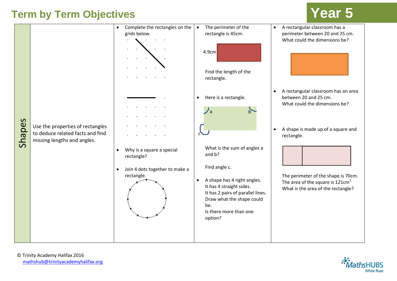

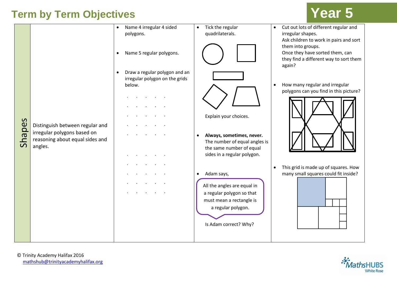|                               |                                                                                                              | Name 4 irregular 4 sided<br>$\bullet$<br>polygons.<br>Name 5 regular polygons.<br>$\bullet$<br>Draw a regular polygon and an<br>$\bullet$<br>irregular polygon on the grids<br>below. | Tick the regular<br>$\bullet$<br>quadrilaterals.                                                                                                               | Cut out lots of different regular and<br>$\bullet$<br>irregular shapes.<br>Ask children to work in pairs and sort<br>them into groups.<br>Once they have sorted them, can<br>they find a different way to sort them<br>again?<br>How many regular and irregular<br>$\bullet$<br>polygons can you find in this picture? |
|-------------------------------|--------------------------------------------------------------------------------------------------------------|---------------------------------------------------------------------------------------------------------------------------------------------------------------------------------------|----------------------------------------------------------------------------------------------------------------------------------------------------------------|------------------------------------------------------------------------------------------------------------------------------------------------------------------------------------------------------------------------------------------------------------------------------------------------------------------------|
| $\mathbf{v}$<br><b>Shape:</b> | Distinguish between regular and<br>irregular polygons based on<br>reasoning about equal sides and<br>angles. |                                                                                                                                                                                       | Explain your choices.<br>Always, sometimes, never.<br>The number of equal angles is<br>the same number of equal<br>sides in a regular polygon.                 |                                                                                                                                                                                                                                                                                                                        |
|                               |                                                                                                              |                                                                                                                                                                                       | Adam says,<br>$\bullet$<br>All the angles are equal in<br>a regular polygon so that<br>must mean a rectangle is<br>a regular polygon.<br>Is Adam correct? Why? | This grid is made up of squares. How<br>$\bullet$<br>many small squares could fit inside?                                                                                                                                                                                                                              |

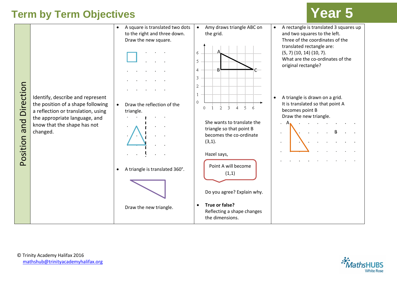

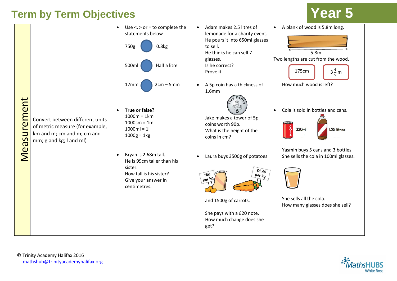| Measurement | Convert between different units<br>of metric measure (for example,<br>km and m; cm and m; cm and<br>mm; g and kg; I and ml) | Use $\lt$ , $>$ or = to complete the<br>$\bullet$<br>statements below<br>0.8kg<br>750g<br>Half a litre<br>500ml<br>$2cm - 5mm$<br>17mm<br>True or false?<br>$1000m = 1km$<br>$1000cm = 1m$<br>$1000ml = 1l$<br>$1000g = 1kg$<br>Bryan is 2.68m tall.<br>He is 99cm taller than his<br>sister.<br>How tall is his sister?<br>Give your answer in<br>centimetres. | Adam makes 2.5 litres of<br>$\bullet$<br>lemonade for a charity event.<br>He pours it into 650ml glasses<br>to sell.<br>He thinks he can sell 7<br>glasses.<br>Is he correct?<br>Prove it.<br>A 5p coin has a thickness of<br>$\bullet$<br>1.6 <sub>mm</sub><br>Jake makes a tower of 5p<br>coins worth 90p.<br>What is the height of the<br>coins in cm?<br>Laura buys 3500g of potatoes<br>$\bullet$<br>£1.46<br><b>78P</b><br>Per $k$ g<br>per kg.<br>and 1500g of carrots. | A plank of wood is 5.8m long.<br>$\bullet$<br>5.8 <sub>m</sub><br>Two lengths are cut from the wood.<br>175cm<br>$3\frac{4}{5}$ m<br>How much wood is left?<br>Cola is sold in bottles and cans.<br>ို<br>330ml<br>I.25 litres<br>Yasmin buys 5 cans and 3 bottles.<br>She sells the cola in 100ml glasses.<br>She sells all the cola.<br>How many glasses does she sell? |
|-------------|-----------------------------------------------------------------------------------------------------------------------------|-----------------------------------------------------------------------------------------------------------------------------------------------------------------------------------------------------------------------------------------------------------------------------------------------------------------------------------------------------------------|--------------------------------------------------------------------------------------------------------------------------------------------------------------------------------------------------------------------------------------------------------------------------------------------------------------------------------------------------------------------------------------------------------------------------------------------------------------------------------|---------------------------------------------------------------------------------------------------------------------------------------------------------------------------------------------------------------------------------------------------------------------------------------------------------------------------------------------------------------------------|
|             |                                                                                                                             |                                                                                                                                                                                                                                                                                                                                                                 | She pays with a £20 note.<br>How much change does she<br>get?                                                                                                                                                                                                                                                                                                                                                                                                                  |                                                                                                                                                                                                                                                                                                                                                                           |

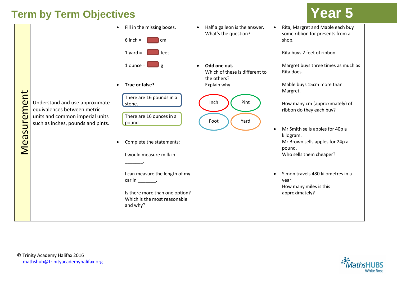|                          |                                                                                                  | $\bullet$ | Fill in the missing boxes.<br>$6$ inch =<br>cm                             | $\bullet$ | Half a galleon is the answer.<br>What's the question?         | $\bullet$ | Rita, Margret and Mable each buy<br>some ribbon for presents from a<br>shop.    |
|--------------------------|--------------------------------------------------------------------------------------------------|-----------|----------------------------------------------------------------------------|-----------|---------------------------------------------------------------|-----------|---------------------------------------------------------------------------------|
|                          |                                                                                                  |           | $\vert$ feet<br>1 yard $=$                                                 |           |                                                               |           | Rita buys 2 feet of ribbon.                                                     |
|                          |                                                                                                  |           | 1 ounce = $\Box$ g                                                         | $\bullet$ | Odd one out.<br>Which of these is different to<br>the others? |           | Margret buys three times as much as<br>Rita does.                               |
| $\overline{\phantom{0}}$ |                                                                                                  | $\bullet$ | True or false?<br>There are 16 pounds in a                                 |           | Explain why.                                                  |           | Mable buys 15cm more than<br>Margret.                                           |
| easuremen                | Understand and use approximate<br>equivalences between metric<br>units and common imperial units |           | stone.<br>There are 16 ounces in a<br>pound.                               |           | Pint<br>Inch<br>Yard<br>Foot                                  |           | How many cm (approximately) of<br>ribbon do they each buy?                      |
|                          | such as inches, pounds and pints.                                                                | $\bullet$ | Complete the statements:                                                   |           |                                                               | $\bullet$ | Mr Smith sells apples for 40p a<br>kilogram.<br>Mr Brown sells apples for 24p a |
|                          |                                                                                                  |           | I would measure milk in                                                    |           |                                                               |           | pound.<br>Who sells them cheaper?                                               |
|                          |                                                                                                  |           | I can measure the length of my<br>$car in$ _______.                        |           |                                                               | $\bullet$ | Simon travels 480 kilometres in a<br>year.<br>How many miles is this            |
|                          |                                                                                                  |           | Is there more than one option?<br>Which is the most reasonable<br>and why? |           |                                                               |           | approximately?                                                                  |
|                          |                                                                                                  |           |                                                                            |           |                                                               |           |                                                                                 |

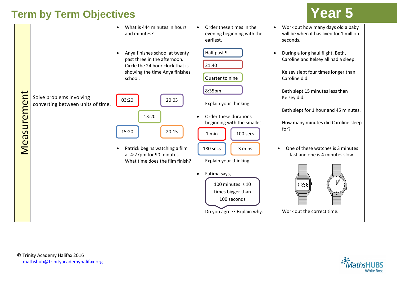| Measurement | Solve problems involving<br>converting between units of time. | What is 444 minutes in hours<br>$\bullet$<br>and minutes?<br>Anya finishes school at twenty<br>$\bullet$<br>past three in the afternoon.<br>Circle the 24 hour clock that is<br>showing the time Anya finishes<br>school.<br>03:20<br>20:03<br>13:20<br>15:20<br>20:15<br>Patrick begins watching a film<br>$\bullet$<br>at 4:27pm for 90 minutes.<br>What time does the film finish? | Order these times in the<br>evening beginning with the<br>earliest.<br>Half past 9<br>21:40<br>Quarter to nine<br>8:35pm<br>Explain your thinking.<br>Order these durations<br>beginning with the smallest.<br>100 secs<br>1 min<br>180 secs<br>3 mins<br>Explain your thinking.<br>Fatima says,<br>$\bullet$<br>100 minutes is 10<br>times bigger than<br>100 seconds<br>Do you agree? Explain why. | Work out how many days old a baby<br>will be when it has lived for 1 million<br>seconds.<br>During a long haul flight, Beth,<br>Caroline and Kelsey all had a sleep.<br>Kelsey slept four times longer than<br>Caroline did.<br>Beth slept 15 minutes less than<br>Kelsey did.<br>Beth slept for 1 hour and 45 minutes.<br>How many minutes did Caroline sleep<br>for?<br>One of these watches is 3 minutes<br>fast and one is 4 minutes slow.<br>11:58⊯<br>Work out the correct time. |
|-------------|---------------------------------------------------------------|---------------------------------------------------------------------------------------------------------------------------------------------------------------------------------------------------------------------------------------------------------------------------------------------------------------------------------------------------------------------------------------|------------------------------------------------------------------------------------------------------------------------------------------------------------------------------------------------------------------------------------------------------------------------------------------------------------------------------------------------------------------------------------------------------|----------------------------------------------------------------------------------------------------------------------------------------------------------------------------------------------------------------------------------------------------------------------------------------------------------------------------------------------------------------------------------------------------------------------------------------------------------------------------------------|
|-------------|---------------------------------------------------------------|---------------------------------------------------------------------------------------------------------------------------------------------------------------------------------------------------------------------------------------------------------------------------------------------------------------------------------------------------------------------------------------|------------------------------------------------------------------------------------------------------------------------------------------------------------------------------------------------------------------------------------------------------------------------------------------------------------------------------------------------------------------------------------------------------|----------------------------------------------------------------------------------------------------------------------------------------------------------------------------------------------------------------------------------------------------------------------------------------------------------------------------------------------------------------------------------------------------------------------------------------------------------------------------------------|

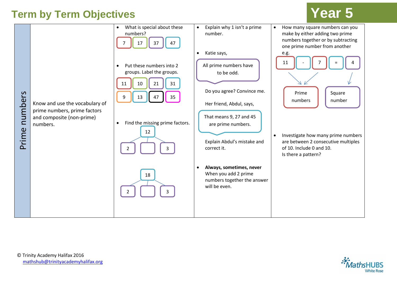

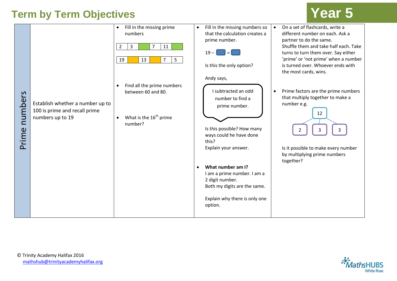|                  |                                                                                       | Fill in the missing prime<br>$\bullet$<br>numbers<br>$\overline{7}$<br>$\overline{2}$<br>3<br>11 | Fill in the missing numbers so<br>$\bullet$<br>that the calculation creates a<br>prime number.<br>$19 -$<br>$=$                                                                                                                        | On a set of flashcards, write a<br>$\bullet$<br>different number on each. Ask a<br>partner to do the same.<br>Shuffle them and take half each. Take<br>turns to turn them over. Say either    |
|------------------|---------------------------------------------------------------------------------------|--------------------------------------------------------------------------------------------------|----------------------------------------------------------------------------------------------------------------------------------------------------------------------------------------------------------------------------------------|-----------------------------------------------------------------------------------------------------------------------------------------------------------------------------------------------|
|                  |                                                                                       | 19<br>13<br>5<br>7<br>Find all the prime numbers<br>$\bullet$                                    | Is this the only option?<br>Andy says,                                                                                                                                                                                                 | 'prime' or 'not prime' when a number<br>is turned over. Whoever ends with<br>the most cards, wins.                                                                                            |
| numbers<br>Prime | Establish whether a number up to<br>100 is prime and recall prime<br>numbers up to 19 | between 60 and 80.<br>What is the $16th$ prime<br>$\bullet$<br>number?                           | I subtracted an odd<br>number to find a<br>prime number.<br>Is this possible? How many<br>ways could he have done<br>this?<br>Explain your answer.<br>What number am I?<br>$\bullet$<br>I am a prime number. I am a<br>2 digit number. | Prime factors are the prime numbers<br>$\bullet$<br>that multiply together to make a<br>number e.g.<br>12<br>Is it possible to make every number<br>by multiplying prime numbers<br>together? |
|                  |                                                                                       |                                                                                                  | Both my digits are the same.<br>Explain why there is only one<br>option.                                                                                                                                                               |                                                                                                                                                                                               |



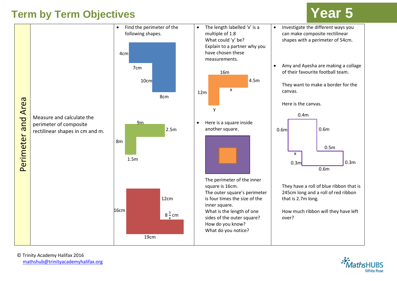

© Trinity Academy Halifax 2016 [mathshub@trinityacademyhalifax.org](mailto:mathshub@trinityacademyhalifax.org)

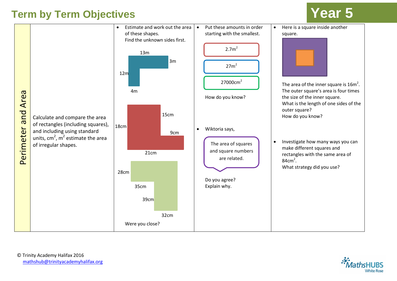

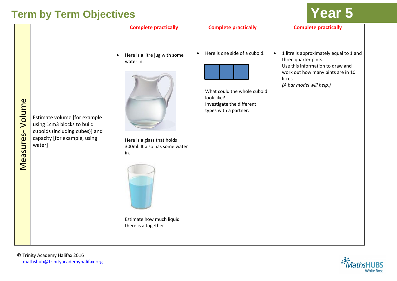